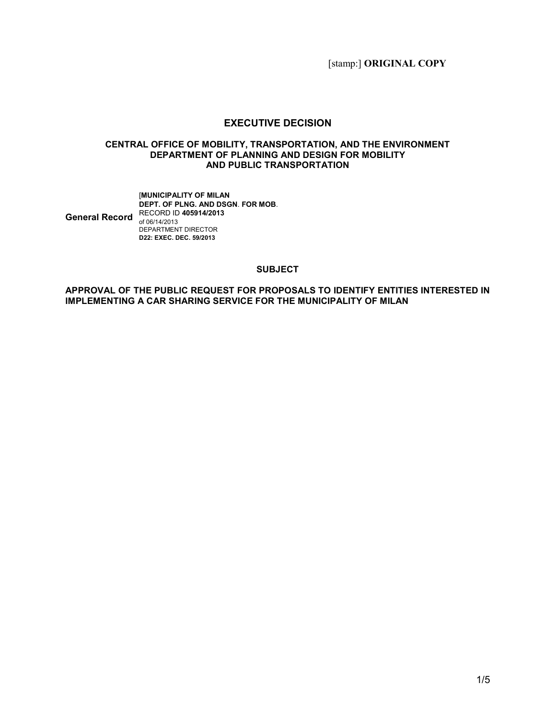[stamp:] ORIGINAL COPY

### EXECUTIVE DECISION

#### CENTRAL OFFICE OF MOBILITY, TRANSPORTATION, AND THE ENVIRONMENT DEPARTMENT OF PLANNING AND DESIGN FOR MOBILITY AND PUBLIC TRANSPORTATION

#### General Record RECORD ID 405914/2013 [MUNICIPALITY OF MILAN DEPT. OF PLNG. AND DSGN. FOR MOB. of 06/14/2013 DEPARTMENT DIRECTOR D22: EXEC. DEC. 59/2013

### **SUBJECT**

#### APPROVAL OF THE PUBLIC REQUEST FOR PROPOSALS TO IDENTIFY ENTITIES INTERESTED IN IMPLEMENTING A CAR SHARING SERVICE FOR THE MUNICIPALITY OF MILAN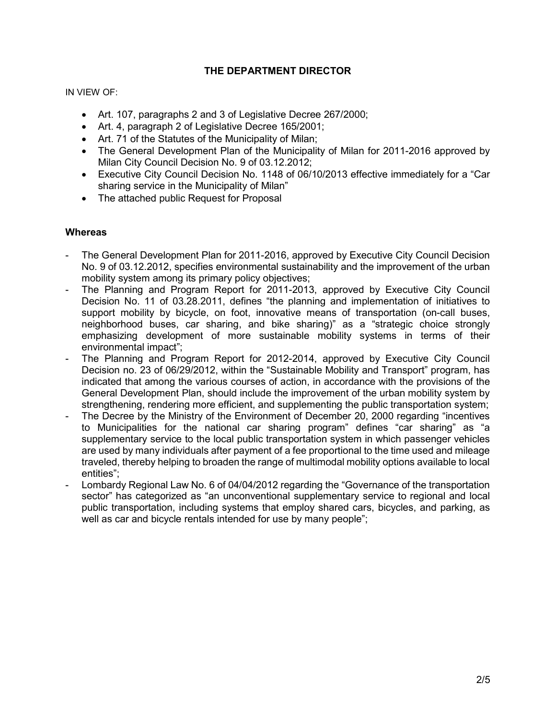# THE DEPARTMENT DIRECTOR

IN VIEW OF:

- Art. 107, paragraphs 2 and 3 of Legislative Decree 267/2000;
- Art. 4, paragraph 2 of Legislative Decree 165/2001;
- Art. 71 of the Statutes of the Municipality of Milan;
- The General Development Plan of the Municipality of Milan for 2011-2016 approved by Milan City Council Decision No. 9 of 03.12.2012;
- Executive City Council Decision No. 1148 of 06/10/2013 effective immediately for a "Car sharing service in the Municipality of Milan"
- The attached public Request for Proposal

### **Whereas**

- The General Development Plan for 2011-2016, approved by Executive City Council Decision No. 9 of 03.12.2012, specifies environmental sustainability and the improvement of the urban mobility system among its primary policy objectives;
- The Planning and Program Report for 2011-2013, approved by Executive City Council Decision No. 11 of 03.28.2011, defines "the planning and implementation of initiatives to support mobility by bicycle, on foot, innovative means of transportation (on-call buses, neighborhood buses, car sharing, and bike sharing)" as a "strategic choice strongly emphasizing development of more sustainable mobility systems in terms of their environmental impact";
- The Planning and Program Report for 2012-2014, approved by Executive City Council Decision no. 23 of 06/29/2012, within the "Sustainable Mobility and Transport" program, has indicated that among the various courses of action, in accordance with the provisions of the General Development Plan, should include the improvement of the urban mobility system by strengthening, rendering more efficient, and supplementing the public transportation system;
- The Decree by the Ministry of the Environment of December 20, 2000 regarding "incentives to Municipalities for the national car sharing program" defines "car sharing" as "a supplementary service to the local public transportation system in which passenger vehicles are used by many individuals after payment of a fee proportional to the time used and mileage traveled, thereby helping to broaden the range of multimodal mobility options available to local entities";
- Lombardy Regional Law No. 6 of 04/04/2012 regarding the "Governance of the transportation sector" has categorized as "an unconventional supplementary service to regional and local public transportation, including systems that employ shared cars, bicycles, and parking, as well as car and bicycle rentals intended for use by many people";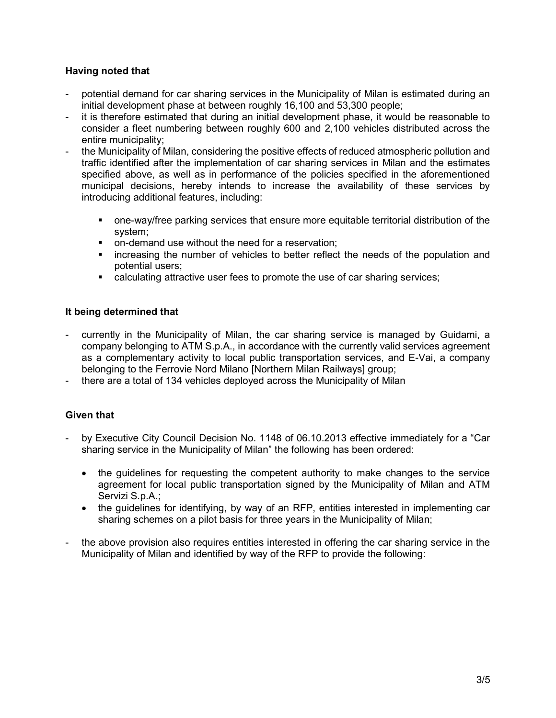# Having noted that

- potential demand for car sharing services in the Municipality of Milan is estimated during an initial development phase at between roughly 16,100 and 53,300 people;
- it is therefore estimated that during an initial development phase, it would be reasonable to consider a fleet numbering between roughly 600 and 2,100 vehicles distributed across the entire municipality;
- the Municipality of Milan, considering the positive effects of reduced atmospheric pollution and traffic identified after the implementation of car sharing services in Milan and the estimates specified above, as well as in performance of the policies specified in the aforementioned municipal decisions, hereby intends to increase the availability of these services by introducing additional features, including:
	- one-way/free parking services that ensure more equitable territorial distribution of the system;
	- **on-demand use without the need for a reservation;**
	- **EXED** increasing the number of vehicles to better reflect the needs of the population and potential users;
	- calculating attractive user fees to promote the use of car sharing services;

# It being determined that

- currently in the Municipality of Milan, the car sharing service is managed by Guidami, a company belonging to ATM S.p.A., in accordance with the currently valid services agreement as a complementary activity to local public transportation services, and E-Vai, a company belonging to the Ferrovie Nord Milano [Northern Milan Railways] group;
- there are a total of 134 vehicles deployed across the Municipality of Milan

# Given that

- by Executive City Council Decision No. 1148 of 06.10.2013 effective immediately for a "Car sharing service in the Municipality of Milan" the following has been ordered:
	- the guidelines for requesting the competent authority to make changes to the service agreement for local public transportation signed by the Municipality of Milan and ATM Servizi S.p.A.;
	- the guidelines for identifying, by way of an RFP, entities interested in implementing car sharing schemes on a pilot basis for three years in the Municipality of Milan;
- the above provision also requires entities interested in offering the car sharing service in the Municipality of Milan and identified by way of the RFP to provide the following: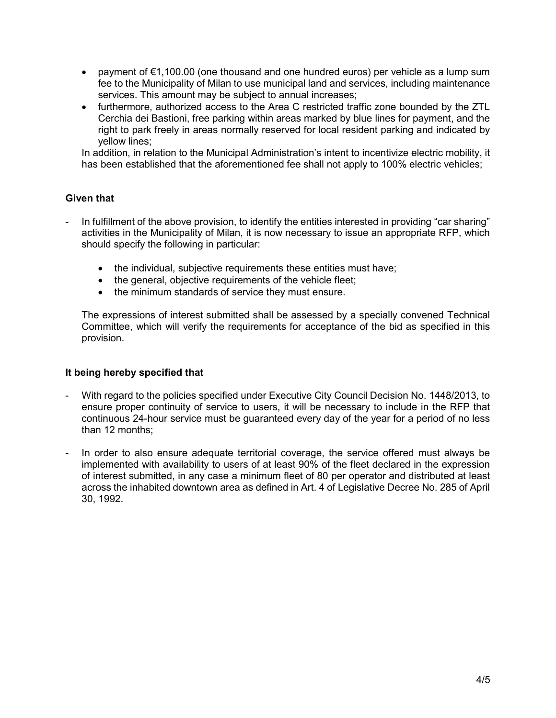- payment of €1,100.00 (one thousand and one hundred euros) per vehicle as a lump sum fee to the Municipality of Milan to use municipal land and services, including maintenance services. This amount may be subject to annual increases;
- furthermore, authorized access to the Area C restricted traffic zone bounded by the ZTL Cerchia dei Bastioni, free parking within areas marked by blue lines for payment, and the right to park freely in areas normally reserved for local resident parking and indicated by yellow lines;

In addition, in relation to the Municipal Administration's intent to incentivize electric mobility, it has been established that the aforementioned fee shall not apply to 100% electric vehicles;

### Given that

- In fulfillment of the above provision, to identify the entities interested in providing "car sharing" activities in the Municipality of Milan, it is now necessary to issue an appropriate RFP, which should specify the following in particular:
	- the individual, subjective requirements these entities must have;
	- the general, objective requirements of the vehicle fleet;
	- the minimum standards of service they must ensure.

The expressions of interest submitted shall be assessed by a specially convened Technical Committee, which will verify the requirements for acceptance of the bid as specified in this provision.

### It being hereby specified that

- With regard to the policies specified under Executive City Council Decision No. 1448/2013, to ensure proper continuity of service to users, it will be necessary to include in the RFP that continuous 24-hour service must be guaranteed every day of the year for a period of no less than 12 months;
- In order to also ensure adequate territorial coverage, the service offered must always be implemented with availability to users of at least 90% of the fleet declared in the expression of interest submitted, in any case a minimum fleet of 80 per operator and distributed at least across the inhabited downtown area as defined in Art. 4 of Legislative Decree No. 285 of April 30, 1992.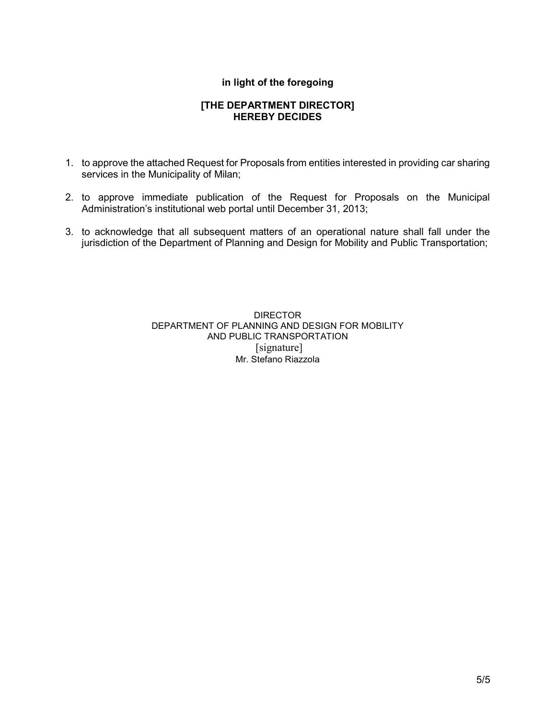# in light of the foregoing

### [THE DEPARTMENT DIRECTOR] HEREBY DECIDES

- 1. to approve the attached Request for Proposals from entities interested in providing car sharing services in the Municipality of Milan;
- 2. to approve immediate publication of the Request for Proposals on the Municipal Administration's institutional web portal until December 31, 2013;
- 3. to acknowledge that all subsequent matters of an operational nature shall fall under the jurisdiction of the Department of Planning and Design for Mobility and Public Transportation;

DIRECTOR DEPARTMENT OF PLANNING AND DESIGN FOR MOBILITY AND PUBLIC TRANSPORTATION [signature] Mr. Stefano Riazzola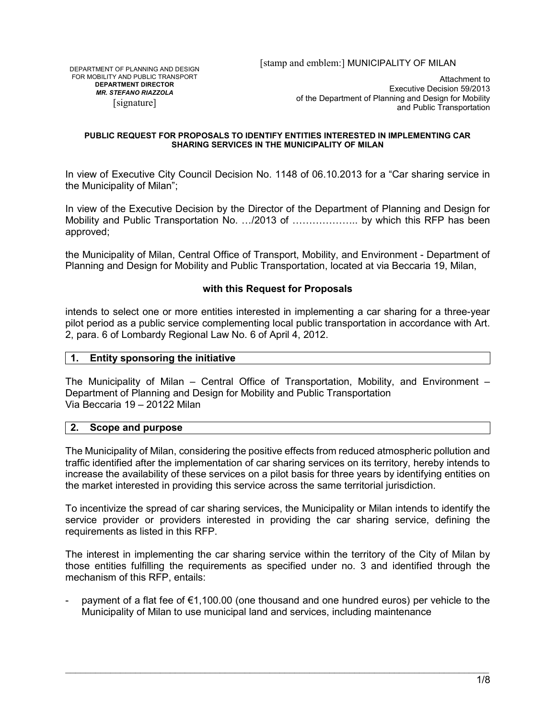DEPARTMENT OF PLANNING AND DESIGN FOR MOBILITY AND PUBLIC TRANSPORT DEPARTMENT DIRECTOR MR. STEFANO RIAZZOLA [signature]

Attachment to Executive Decision 59/2013 of the Department of Planning and Design for Mobility and Public Transportation

#### PUBLIC REQUEST FOR PROPOSALS TO IDENTIFY ENTITIES INTERESTED IN IMPLEMENTING CAR SHARING SERVICES IN THE MUNICIPALITY OF MILAN

In view of Executive City Council Decision No. 1148 of 06.10.2013 for a "Car sharing service in the Municipality of Milan";

In view of the Executive Decision by the Director of the Department of Planning and Design for Mobility and Public Transportation No. .../2013 of ..................... by which this RFP has been approved;

the Municipality of Milan, Central Office of Transport, Mobility, and Environment - Department of Planning and Design for Mobility and Public Transportation, located at via Beccaria 19, Milan,

### with this Request for Proposals

intends to select one or more entities interested in implementing a car sharing for a three-year pilot period as a public service complementing local public transportation in accordance with Art. 2, para. 6 of Lombardy Regional Law No. 6 of April 4, 2012.

### 1. Entity sponsoring the initiative

The Municipality of Milan – Central Office of Transportation, Mobility, and Environment – Department of Planning and Design for Mobility and Public Transportation Via Beccaria 19 – 20122 Milan

#### 2. Scope and purpose

The Municipality of Milan, considering the positive effects from reduced atmospheric pollution and traffic identified after the implementation of car sharing services on its territory, hereby intends to increase the availability of these services on a pilot basis for three years by identifying entities on the market interested in providing this service across the same territorial jurisdiction.

To incentivize the spread of car sharing services, the Municipality or Milan intends to identify the service provider or providers interested in providing the car sharing service, defining the requirements as listed in this RFP.

The interest in implementing the car sharing service within the territory of the City of Milan by those entities fulfilling the requirements as specified under no. 3 and identified through the mechanism of this RFP, entails:

payment of a flat fee of  $\epsilon$ 1,100.00 (one thousand and one hundred euros) per vehicle to the Municipality of Milan to use municipal land and services, including maintenance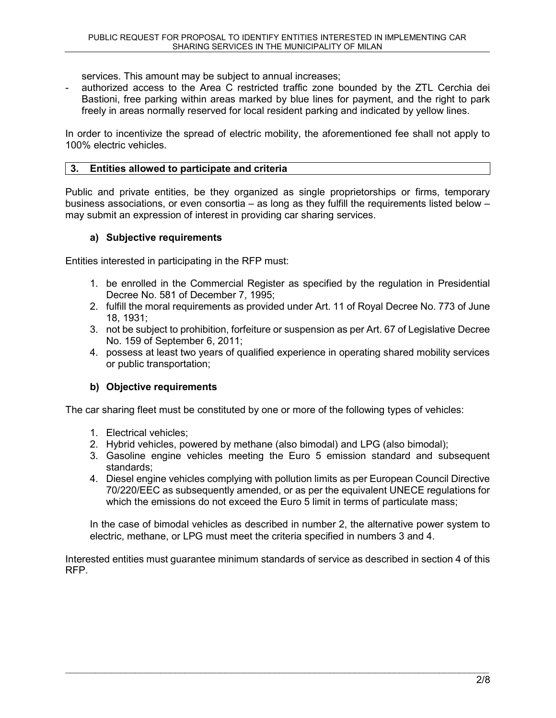services. This amount may be subject to annual increases;

authorized access to the Area C restricted traffic zone bounded by the ZTL Cerchia dei Bastioni, free parking within areas marked by blue lines for payment, and the right to park freely in areas normally reserved for local resident parking and indicated by yellow lines.

In order to incentivize the spread of electric mobility, the aforementioned fee shall not apply to 100% electric vehicles.

# 3. Entities allowed to participate and criteria

Public and private entities, be they organized as single proprietorships or firms, temporary business associations, or even consortia – as long as they fulfill the requirements listed below – may submit an expression of interest in providing car sharing services.

### a) Subjective requirements

Entities interested in participating in the RFP must:

- 1. be enrolled in the Commercial Register as specified by the regulation in Presidential Decree No. 581 of December 7, 1995;
- 2. fulfill the moral requirements as provided under Art. 11 of Royal Decree No. 773 of June 18, 1931;
- 3. not be subject to prohibition, forfeiture or suspension as per Art. 67 of Legislative Decree No. 159 of September 6, 2011;
- 4. possess at least two years of qualified experience in operating shared mobility services or public transportation;

# b) Objective requirements

The car sharing fleet must be constituted by one or more of the following types of vehicles:

- 1. Electrical vehicles;
- 2. Hybrid vehicles, powered by methane (also bimodal) and LPG (also bimodal);
- 3. Gasoline engine vehicles meeting the Euro 5 emission standard and subsequent standards;
- 4. Diesel engine vehicles complying with pollution limits as per European Council Directive 70/220/EEC as subsequently amended, or as per the equivalent UNECE regulations for which the emissions do not exceed the Euro 5 limit in terms of particulate mass;

In the case of bimodal vehicles as described in number 2, the alternative power system to electric, methane, or LPG must meet the criteria specified in numbers 3 and 4.

Interested entities must guarantee minimum standards of service as described in section 4 of this RFP.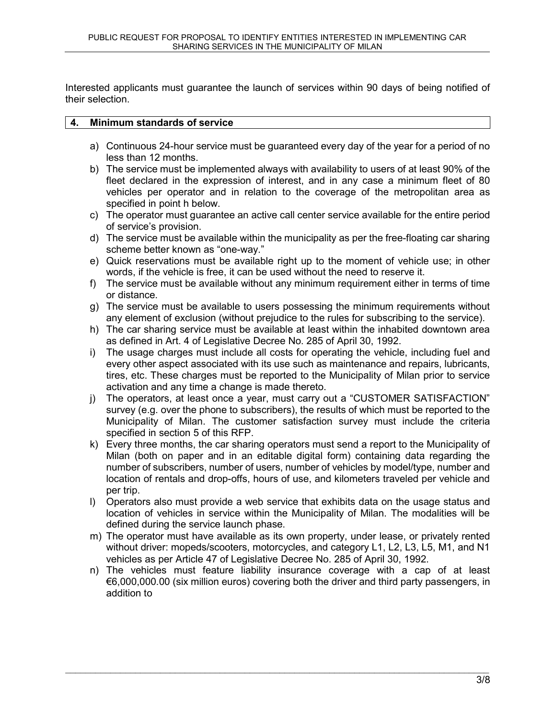Interested applicants must guarantee the launch of services within 90 days of being notified of their selection.

### 4. Minimum standards of service

- a) Continuous 24-hour service must be guaranteed every day of the year for a period of no less than 12 months.
- b) The service must be implemented always with availability to users of at least 90% of the fleet declared in the expression of interest, and in any case a minimum fleet of 80 vehicles per operator and in relation to the coverage of the metropolitan area as specified in point h below.
- c) The operator must guarantee an active call center service available for the entire period of service's provision.
- d) The service must be available within the municipality as per the free-floating car sharing scheme better known as "one-way."
- e) Quick reservations must be available right up to the moment of vehicle use; in other words, if the vehicle is free, it can be used without the need to reserve it.
- f) The service must be available without any minimum requirement either in terms of time or distance.
- g) The service must be available to users possessing the minimum requirements without any element of exclusion (without prejudice to the rules for subscribing to the service).
- h) The car sharing service must be available at least within the inhabited downtown area as defined in Art. 4 of Legislative Decree No. 285 of April 30, 1992.
- i) The usage charges must include all costs for operating the vehicle, including fuel and every other aspect associated with its use such as maintenance and repairs, lubricants, tires, etc. These charges must be reported to the Municipality of Milan prior to service activation and any time a change is made thereto.
- j) The operators, at least once a year, must carry out a "CUSTOMER SATISFACTION" survey (e.g. over the phone to subscribers), the results of which must be reported to the Municipality of Milan. The customer satisfaction survey must include the criteria specified in section 5 of this RFP.
- k) Every three months, the car sharing operators must send a report to the Municipality of Milan (both on paper and in an editable digital form) containing data regarding the number of subscribers, number of users, number of vehicles by model/type, number and location of rentals and drop-offs, hours of use, and kilometers traveled per vehicle and per trip.
- l) Operators also must provide a web service that exhibits data on the usage status and location of vehicles in service within the Municipality of Milan. The modalities will be defined during the service launch phase.
- m) The operator must have available as its own property, under lease, or privately rented without driver: mopeds/scooters, motorcycles, and category L1, L2, L3, L5, M1, and N1 vehicles as per Article 47 of Legislative Decree No. 285 of April 30, 1992.
- n) The vehicles must feature liability insurance coverage with a cap of at least €6,000,000.00 (six million euros) covering both the driver and third party passengers, in addition to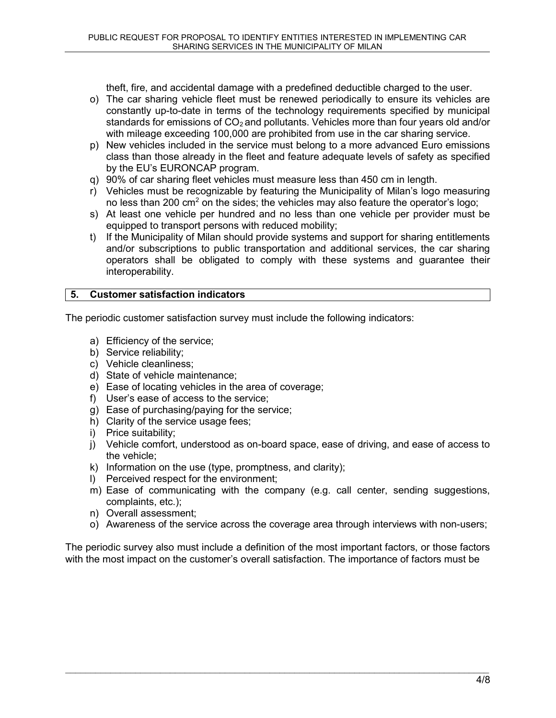theft, fire, and accidental damage with a predefined deductible charged to the user.

- o) The car sharing vehicle fleet must be renewed periodically to ensure its vehicles are constantly up-to-date in terms of the technology requirements specified by municipal standards for emissions of  $CO<sub>2</sub>$  and pollutants. Vehicles more than four years old and/or with mileage exceeding 100,000 are prohibited from use in the car sharing service.
- p) New vehicles included in the service must belong to a more advanced Euro emissions class than those already in the fleet and feature adequate levels of safety as specified by the EU's EURONCAP program.
- q) 90% of car sharing fleet vehicles must measure less than 450 cm in length.
- r) Vehicles must be recognizable by featuring the Municipality of Milan's logo measuring no less than 200 cm<sup>2</sup> on the sides; the vehicles may also feature the operator's logo;
- s) At least one vehicle per hundred and no less than one vehicle per provider must be equipped to transport persons with reduced mobility;
- t) If the Municipality of Milan should provide systems and support for sharing entitlements and/or subscriptions to public transportation and additional services, the car sharing operators shall be obligated to comply with these systems and guarantee their interoperability.

# 5. Customer satisfaction indicators

The periodic customer satisfaction survey must include the following indicators:

- a) Efficiency of the service;
- b) Service reliability;
- c) Vehicle cleanliness;
- d) State of vehicle maintenance;
- e) Ease of locating vehicles in the area of coverage;
- f) User's ease of access to the service;
- g) Ease of purchasing/paying for the service;
- h) Clarity of the service usage fees;
- i) Price suitability;
- j) Vehicle comfort, understood as on-board space, ease of driving, and ease of access to the vehicle;
- k) Information on the use (type, promptness, and clarity);
- l) Perceived respect for the environment;
- m) Ease of communicating with the company (e.g. call center, sending suggestions, complaints, etc.);
- n) Overall assessment;
- o) Awareness of the service across the coverage area through interviews with non-users;

The periodic survey also must include a definition of the most important factors, or those factors with the most impact on the customer's overall satisfaction. The importance of factors must be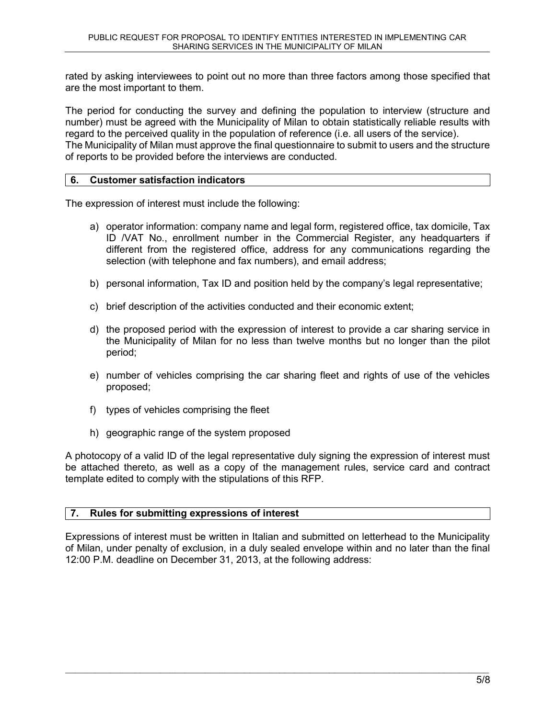rated by asking interviewees to point out no more than three factors among those specified that are the most important to them.

The period for conducting the survey and defining the population to interview (structure and number) must be agreed with the Municipality of Milan to obtain statistically reliable results with regard to the perceived quality in the population of reference (i.e. all users of the service). The Municipality of Milan must approve the final questionnaire to submit to users and the structure of reports to be provided before the interviews are conducted.

### 6. Customer satisfaction indicators

The expression of interest must include the following:

- a) operator information: company name and legal form, registered office, tax domicile, Tax ID /VAT No., enrollment number in the Commercial Register, any headquarters if different from the registered office, address for any communications regarding the selection (with telephone and fax numbers), and email address;
- b) personal information, Tax ID and position held by the company's legal representative;
- c) brief description of the activities conducted and their economic extent;
- d) the proposed period with the expression of interest to provide a car sharing service in the Municipality of Milan for no less than twelve months but no longer than the pilot period;
- e) number of vehicles comprising the car sharing fleet and rights of use of the vehicles proposed;
- f) types of vehicles comprising the fleet
- h) geographic range of the system proposed

A photocopy of a valid ID of the legal representative duly signing the expression of interest must be attached thereto, as well as a copy of the management rules, service card and contract template edited to comply with the stipulations of this RFP.

### 7. Rules for submitting expressions of interest

Expressions of interest must be written in Italian and submitted on letterhead to the Municipality of Milan, under penalty of exclusion, in a duly sealed envelope within and no later than the final 12:00 P.M. deadline on December 31, 2013, at the following address: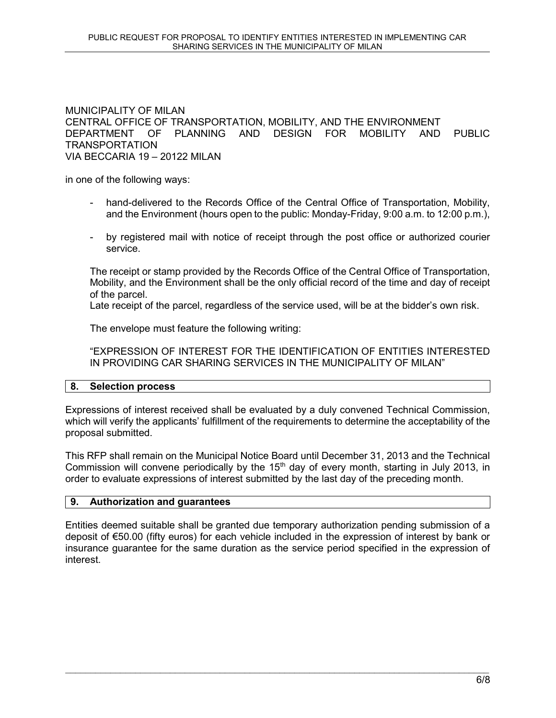### MUNICIPALITY OF MILAN CENTRAL OFFICE OF TRANSPORTATION, MOBILITY, AND THE ENVIRONMENT DEPARTMENT OF PLANNING AND DESIGN FOR MOBILITY AND PUBLIC TRANSPORTATION VIA BECCARIA 19 – 20122 MILAN

in one of the following ways:

- hand-delivered to the Records Office of the Central Office of Transportation, Mobility, and the Environment (hours open to the public: Monday-Friday, 9:00 a.m. to 12:00 p.m.),
- by registered mail with notice of receipt through the post office or authorized courier service.

The receipt or stamp provided by the Records Office of the Central Office of Transportation, Mobility, and the Environment shall be the only official record of the time and day of receipt of the parcel.

Late receipt of the parcel, regardless of the service used, will be at the bidder's own risk.

The envelope must feature the following writing:

"EXPRESSION OF INTEREST FOR THE IDENTIFICATION OF ENTITIES INTERESTED IN PROVIDING CAR SHARING SERVICES IN THE MUNICIPALITY OF MILAN"

### 8. Selection process

Expressions of interest received shall be evaluated by a duly convened Technical Commission, which will verify the applicants' fulfillment of the requirements to determine the acceptability of the proposal submitted.

This RFP shall remain on the Municipal Notice Board until December 31, 2013 and the Technical Commission will convene periodically by the  $15<sup>th</sup>$  day of every month, starting in July 2013, in order to evaluate expressions of interest submitted by the last day of the preceding month.

### 9. Authorization and guarantees

Entities deemed suitable shall be granted due temporary authorization pending submission of a deposit of €50.00 (fifty euros) for each vehicle included in the expression of interest by bank or insurance guarantee for the same duration as the service period specified in the expression of interest.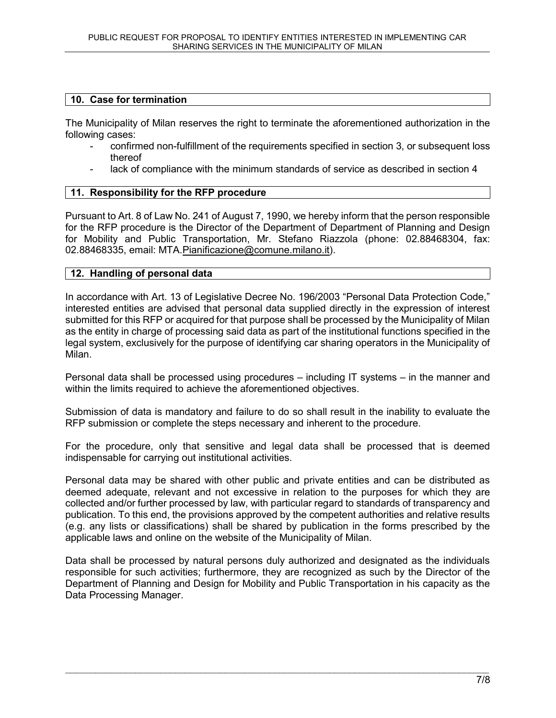# 10. Case for termination

The Municipality of Milan reserves the right to terminate the aforementioned authorization in the following cases:

- confirmed non-fulfillment of the requirements specified in section 3, or subsequent loss thereof
- lack of compliance with the minimum standards of service as described in section 4

### 11. Responsibility for the RFP procedure

Pursuant to Art. 8 of Law No. 241 of August 7, 1990, we hereby inform that the person responsible for the RFP procedure is the Director of the Department of Department of Planning and Design for Mobility and Public Transportation, Mr. Stefano Riazzola (phone: 02.88468304, fax: 02.88468335, email: MTA.Pianificazione@comune.milano.it).

### 12. Handling of personal data

In accordance with Art. 13 of Legislative Decree No. 196/2003 "Personal Data Protection Code," interested entities are advised that personal data supplied directly in the expression of interest submitted for this RFP or acquired for that purpose shall be processed by the Municipality of Milan as the entity in charge of processing said data as part of the institutional functions specified in the legal system, exclusively for the purpose of identifying car sharing operators in the Municipality of Milan.

Personal data shall be processed using procedures – including IT systems – in the manner and within the limits required to achieve the aforementioned objectives.

Submission of data is mandatory and failure to do so shall result in the inability to evaluate the RFP submission or complete the steps necessary and inherent to the procedure.

For the procedure, only that sensitive and legal data shall be processed that is deemed indispensable for carrying out institutional activities.

Personal data may be shared with other public and private entities and can be distributed as deemed adequate, relevant and not excessive in relation to the purposes for which they are collected and/or further processed by law, with particular regard to standards of transparency and publication. To this end, the provisions approved by the competent authorities and relative results (e.g. any lists or classifications) shall be shared by publication in the forms prescribed by the applicable laws and online on the website of the Municipality of Milan.

Data shall be processed by natural persons duly authorized and designated as the individuals responsible for such activities; furthermore, they are recognized as such by the Director of the Department of Planning and Design for Mobility and Public Transportation in his capacity as the Data Processing Manager.